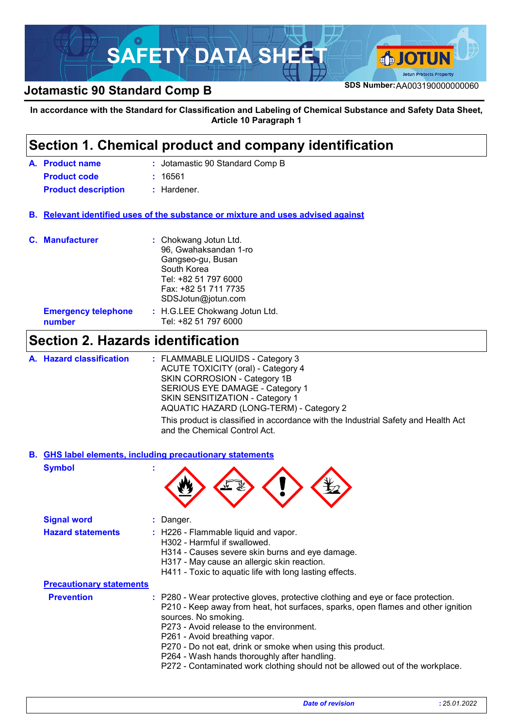

## **SDS Number:**AA003190000000060 **Jotamastic 90 Standard Comp B**

#### **In accordance with the Standard for Classification and Labeling of Chemical Substance and Safety Data Sheet, Article 10 Paragraph 1**

### **Section 1. Chemical product and company identification**

| A. Product name            | : Jotamastic 90 Standard Comp B |
|----------------------------|---------------------------------|
| <b>Product code</b>        | : 16561                         |
| <b>Product description</b> | : Hardener.                     |

**Relevant identified uses of the substance or mixture and uses advised against B.**

| <b>C.</b> Manufacturer               | : Chokwang Jotun Ltd.<br>96, Gwahaksandan 1-ro<br>Gangseo-gu, Busan<br>South Korea<br>Tel: +82 51 797 6000<br>Fax: +82 51 711 7735<br>SDSJotun@jotun.com |
|--------------------------------------|----------------------------------------------------------------------------------------------------------------------------------------------------------|
| <b>Emergency telephone</b><br>number | : H.G.LEE Chokwang Jotun Ltd.<br>Tel: +82 51 797 6000                                                                                                    |

## **Section 2. Hazards identification**

| A. Hazard classification | : FLAMMABLE LIQUIDS - Category 3                                                                                    |
|--------------------------|---------------------------------------------------------------------------------------------------------------------|
|                          | ACUTE TOXICITY (oral) - Category 4                                                                                  |
|                          | SKIN CORROSION - Category 1B                                                                                        |
|                          | SERIOUS EYE DAMAGE - Category 1                                                                                     |
|                          | <b>SKIN SENSITIZATION - Category 1</b>                                                                              |
|                          | AQUATIC HAZARD (LONG-TERM) - Category 2                                                                             |
|                          | This product is classified in accordance with the Industrial Safety and Health Act<br>and the Chemical Control Act. |

**Symbol : GHS label elements, including precautionary statements B.**



| <b>Signal word</b>              | : Danger.                                                                                                                                                                                                                                                                                                                                                                                                                                                                |
|---------------------------------|--------------------------------------------------------------------------------------------------------------------------------------------------------------------------------------------------------------------------------------------------------------------------------------------------------------------------------------------------------------------------------------------------------------------------------------------------------------------------|
| <b>Hazard statements</b>        | : H226 - Flammable liquid and vapor.<br>H302 - Harmful if swallowed.<br>H314 - Causes severe skin burns and eye damage.<br>H317 - May cause an allergic skin reaction.<br>H411 - Toxic to aquatic life with long lasting effects.                                                                                                                                                                                                                                        |
| <b>Precautionary statements</b> |                                                                                                                                                                                                                                                                                                                                                                                                                                                                          |
| <b>Prevention</b>               | : P280 - Wear protective gloves, protective clothing and eye or face protection.<br>P210 - Keep away from heat, hot surfaces, sparks, open flames and other ignition<br>sources. No smoking.<br>P273 - Avoid release to the environment.<br>P261 - Avoid breathing vapor.<br>P270 - Do not eat, drink or smoke when using this product.<br>P264 - Wash hands thoroughly after handling.<br>P272 - Contaminated work clothing should not be allowed out of the workplace. |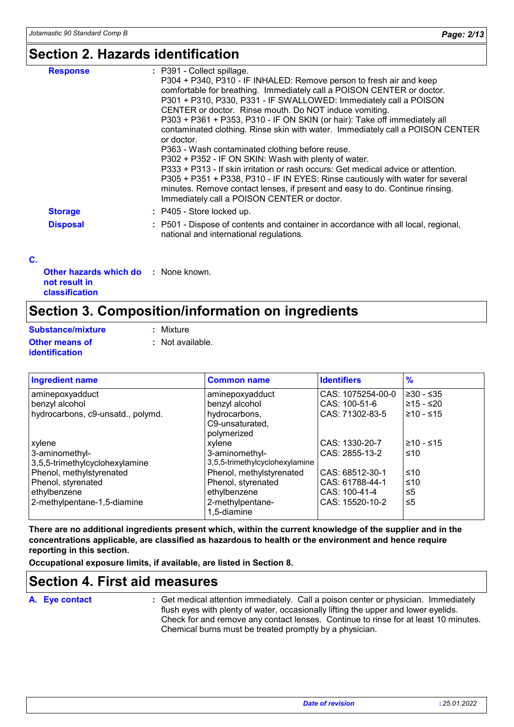### **Section 2. Hazards identification**

| <b>Response</b> | : P391 - Collect spillage.<br>P304 + P340, P310 - IF INHALED: Remove person to fresh air and keep<br>comfortable for breathing. Immediately call a POISON CENTER or doctor.<br>P301 + P310, P330, P331 - IF SWALLOWED: Immediately call a POISON<br>CENTER or doctor. Rinse mouth. Do NOT induce vomiting.<br>P303 + P361 + P353, P310 - IF ON SKIN (or hair): Take off immediately all<br>contaminated clothing. Rinse skin with water. Immediately call a POISON CENTER<br>or doctor.<br>P363 - Wash contaminated clothing before reuse.<br>P302 + P352 - IF ON SKIN: Wash with plenty of water.<br>P333 + P313 - If skin irritation or rash occurs: Get medical advice or attention.<br>P305 + P351 + P338, P310 - IF IN EYES: Rinse cautiously with water for several<br>minutes. Remove contact lenses, if present and easy to do. Continue rinsing.<br>Immediately call a POISON CENTER or doctor. |
|-----------------|----------------------------------------------------------------------------------------------------------------------------------------------------------------------------------------------------------------------------------------------------------------------------------------------------------------------------------------------------------------------------------------------------------------------------------------------------------------------------------------------------------------------------------------------------------------------------------------------------------------------------------------------------------------------------------------------------------------------------------------------------------------------------------------------------------------------------------------------------------------------------------------------------------|
| <b>Storage</b>  | $:$ P405 - Store locked up.                                                                                                                                                                                                                                                                                                                                                                                                                                                                                                                                                                                                                                                                                                                                                                                                                                                                              |
| <b>Disposal</b> | : P501 - Dispose of contents and container in accordance with all local, regional,<br>national and international regulations.                                                                                                                                                                                                                                                                                                                                                                                                                                                                                                                                                                                                                                                                                                                                                                            |

#### **C.**

| <b>Other hazards which do : None known.</b> |  |
|---------------------------------------------|--|
| not result in                               |  |
| <b>classification</b>                       |  |

## **Section 3. Composition/information on ingredients**

| Substance/mixture                              | : Mixture        |
|------------------------------------------------|------------------|
| <b>Other means of</b><br><b>identification</b> | : Not available. |

| <b>Ingredient name</b>            | <b>Common name</b>             | <b>Identifiers</b> | $\frac{9}{6}$ |
|-----------------------------------|--------------------------------|--------------------|---------------|
| aminepoxyadduct                   | aminepoxyadduct                | CAS: 1075254-00-0  | $≥30 - ≤35$   |
| benzyl alcohol                    | benzyl alcohol                 | CAS: 100-51-6      | $≥15 - ≤20$   |
| hydrocarbons, c9-unsatd., polymd. | hydrocarbons,                  | CAS: 71302-83-5    | $≥10 - ≤15$   |
|                                   | C9-unsaturated,                |                    |               |
|                                   | polymerized                    |                    |               |
| xylene                            | xylene                         | CAS: 1330-20-7     | $≥10 - ≤15$   |
| 3-aminomethyl-                    | 3-aminomethyl-                 | CAS: 2855-13-2     | ≤10           |
| 3,5,5-trimethylcyclohexylamine    | 3,5,5-trimethylcyclohexylamine |                    |               |
| Phenol, methylstyrenated          | Phenol, methylstyrenated       | CAS: 68512-30-1    | ≤10           |
| Phenol, styrenated                | Phenol, styrenated             | CAS: 61788-44-1    | ≤10           |
| ethylbenzene                      | ethylbenzene                   | CAS: 100-41-4      | ≤5            |
| 2-methylpentane-1,5-diamine       | 2-methylpentane-               | CAS: 15520-10-2    | $\leq 5$      |
|                                   | 1,5-diamine                    |                    |               |

**There are no additional ingredients present which, within the current knowledge of the supplier and in the concentrations applicable, are classified as hazardous to health or the environment and hence require reporting in this section.**

**Occupational exposure limits, if available, are listed in Section 8.**

### **Section 4. First aid measures**

#### **A. Eye contact :**

Get medical attention immediately. Call a poison center or physician. Immediately flush eyes with plenty of water, occasionally lifting the upper and lower eyelids. Check for and remove any contact lenses. Continue to rinse for at least 10 minutes. Chemical burns must be treated promptly by a physician.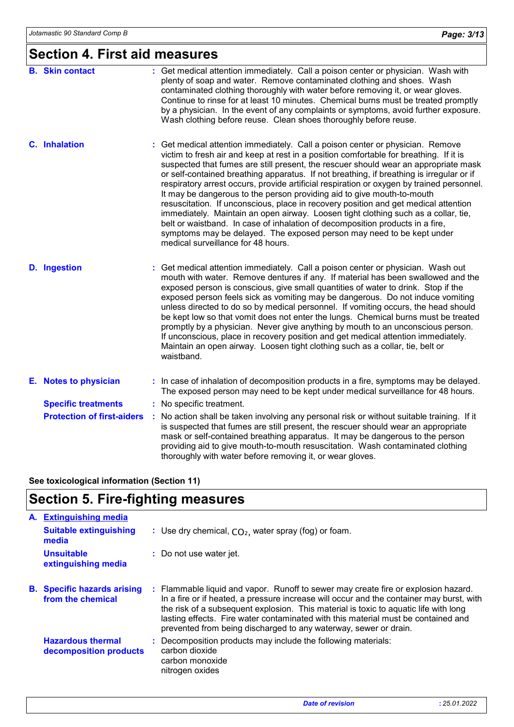### **Section 4. First aid measures**

| <b>B.</b> Skin contact            | : Get medical attention immediately. Call a poison center or physician. Wash with<br>plenty of soap and water. Remove contaminated clothing and shoes. Wash<br>contaminated clothing thoroughly with water before removing it, or wear gloves.<br>Continue to rinse for at least 10 minutes. Chemical burns must be treated promptly<br>by a physician. In the event of any complaints or symptoms, avoid further exposure.<br>Wash clothing before reuse. Clean shoes thoroughly before reuse.                                                                                                                                                                                                                                                                                                                                                                                                               |
|-----------------------------------|---------------------------------------------------------------------------------------------------------------------------------------------------------------------------------------------------------------------------------------------------------------------------------------------------------------------------------------------------------------------------------------------------------------------------------------------------------------------------------------------------------------------------------------------------------------------------------------------------------------------------------------------------------------------------------------------------------------------------------------------------------------------------------------------------------------------------------------------------------------------------------------------------------------|
| <b>C.</b> Inhalation              | Get medical attention immediately. Call a poison center or physician. Remove<br>victim to fresh air and keep at rest in a position comfortable for breathing. If it is<br>suspected that fumes are still present, the rescuer should wear an appropriate mask<br>or self-contained breathing apparatus. If not breathing, if breathing is irregular or if<br>respiratory arrest occurs, provide artificial respiration or oxygen by trained personnel.<br>It may be dangerous to the person providing aid to give mouth-to-mouth<br>resuscitation. If unconscious, place in recovery position and get medical attention<br>immediately. Maintain an open airway. Loosen tight clothing such as a collar, tie,<br>belt or waistband. In case of inhalation of decomposition products in a fire,<br>symptoms may be delayed. The exposed person may need to be kept under<br>medical surveillance for 48 hours. |
| <b>D.</b> Ingestion               | Get medical attention immediately. Call a poison center or physician. Wash out<br>mouth with water. Remove dentures if any. If material has been swallowed and the<br>exposed person is conscious, give small quantities of water to drink. Stop if the<br>exposed person feels sick as vomiting may be dangerous. Do not induce vomiting<br>unless directed to do so by medical personnel. If vomiting occurs, the head should<br>be kept low so that vomit does not enter the lungs. Chemical burns must be treated<br>promptly by a physician. Never give anything by mouth to an unconscious person.<br>If unconscious, place in recovery position and get medical attention immediately.<br>Maintain an open airway. Loosen tight clothing such as a collar, tie, belt or<br>waistband.                                                                                                                  |
| E. Notes to physician             | : In case of inhalation of decomposition products in a fire, symptoms may be delayed.<br>The exposed person may need to be kept under medical surveillance for 48 hours.                                                                                                                                                                                                                                                                                                                                                                                                                                                                                                                                                                                                                                                                                                                                      |
| <b>Specific treatments</b>        | : No specific treatment.                                                                                                                                                                                                                                                                                                                                                                                                                                                                                                                                                                                                                                                                                                                                                                                                                                                                                      |
| <b>Protection of first-aiders</b> | : No action shall be taken involving any personal risk or without suitable training. If it<br>is suspected that fumes are still present, the rescuer should wear an appropriate<br>mask or self-contained breathing apparatus. It may be dangerous to the person<br>providing aid to give mouth-to-mouth resuscitation. Wash contaminated clothing<br>thoroughly with water before removing it, or wear gloves.                                                                                                                                                                                                                                                                                                                                                                                                                                                                                               |

#### **See toxicological information (Section 11)**

# **Section 5. Fire-fighting measures**

| A. | <b>Extinguishing media</b>                              |                                                                                                                                                                                                                                                                                                                                                                                                                                 |
|----|---------------------------------------------------------|---------------------------------------------------------------------------------------------------------------------------------------------------------------------------------------------------------------------------------------------------------------------------------------------------------------------------------------------------------------------------------------------------------------------------------|
|    | <b>Suitable extinguishing</b><br>media                  | : Use dry chemical, $CO2$ , water spray (fog) or foam.                                                                                                                                                                                                                                                                                                                                                                          |
|    | <b>Unsuitable</b><br>extinguishing media                | : Do not use water jet.                                                                                                                                                                                                                                                                                                                                                                                                         |
|    | <b>B.</b> Specific hazards arising<br>from the chemical | : Flammable liquid and vapor. Runoff to sewer may create fire or explosion hazard.<br>In a fire or if heated, a pressure increase will occur and the container may burst, with<br>the risk of a subsequent explosion. This material is toxic to aquatic life with long<br>lasting effects. Fire water contaminated with this material must be contained and<br>prevented from being discharged to any waterway, sewer or drain. |
|    | <b>Hazardous thermal</b><br>decomposition products      | : Decomposition products may include the following materials:<br>carbon dioxide<br>carbon monoxide<br>nitrogen oxides                                                                                                                                                                                                                                                                                                           |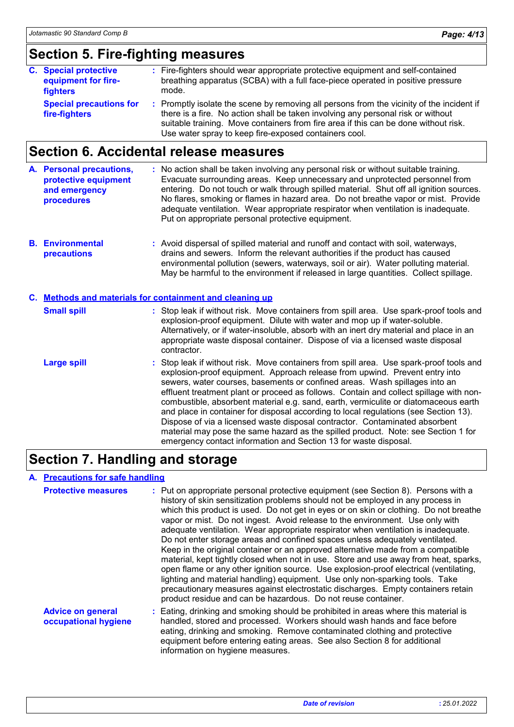### **Section 5. Fire-fighting measures**

| <b>C.</b> Special protective<br>equipment for fire-<br>fighters | : Fire-fighters should wear appropriate protective equipment and self-contained<br>breathing apparatus (SCBA) with a full face-piece operated in positive pressure<br>mode.                                                                                                                                                   |
|-----------------------------------------------------------------|-------------------------------------------------------------------------------------------------------------------------------------------------------------------------------------------------------------------------------------------------------------------------------------------------------------------------------|
| <b>Special precautions for</b><br>fire-fighters                 | : Promptly isolate the scene by removing all persons from the vicinity of the incident if<br>there is a fire. No action shall be taken involving any personal risk or without<br>suitable training. Move containers from fire area if this can be done without risk.<br>Use water spray to keep fire-exposed containers cool. |

# **Section 6. Accidental release measures**

|  | A. Personal precautions,<br>protective equipment<br>and emergency<br>procedures | : No action shall be taken involving any personal risk or without suitable training.<br>Evacuate surrounding areas. Keep unnecessary and unprotected personnel from<br>entering. Do not touch or walk through spilled material. Shut off all ignition sources.<br>No flares, smoking or flames in hazard area. Do not breathe vapor or mist. Provide<br>adequate ventilation. Wear appropriate respirator when ventilation is inadequate.<br>Put on appropriate personal protective equipment. |  |
|--|---------------------------------------------------------------------------------|------------------------------------------------------------------------------------------------------------------------------------------------------------------------------------------------------------------------------------------------------------------------------------------------------------------------------------------------------------------------------------------------------------------------------------------------------------------------------------------------|--|
|--|---------------------------------------------------------------------------------|------------------------------------------------------------------------------------------------------------------------------------------------------------------------------------------------------------------------------------------------------------------------------------------------------------------------------------------------------------------------------------------------------------------------------------------------------------------------------------------------|--|

**Environmental B. precautions :** Avoid dispersal of spilled material and runoff and contact with soil, waterways, drains and sewers. Inform the relevant authorities if the product has caused environmental pollution (sewers, waterways, soil or air). Water polluting material. May be harmful to the environment if released in large quantities. Collect spillage.

| C. Methods and materials for containment and cleaning up |                                                                                                                                                                                                                                                                                                                                                                                                                                                                                                                                                                                                                                                                                                                                                                       |  |  |  |
|----------------------------------------------------------|-----------------------------------------------------------------------------------------------------------------------------------------------------------------------------------------------------------------------------------------------------------------------------------------------------------------------------------------------------------------------------------------------------------------------------------------------------------------------------------------------------------------------------------------------------------------------------------------------------------------------------------------------------------------------------------------------------------------------------------------------------------------------|--|--|--|
| <b>Small spill</b>                                       | : Stop leak if without risk. Move containers from spill area. Use spark-proof tools and<br>explosion-proof equipment. Dilute with water and mop up if water-soluble.<br>Alternatively, or if water-insoluble, absorb with an inert dry material and place in an<br>appropriate waste disposal container. Dispose of via a licensed waste disposal<br>contractor.                                                                                                                                                                                                                                                                                                                                                                                                      |  |  |  |
| <b>Large spill</b>                                       | : Stop leak if without risk. Move containers from spill area. Use spark-proof tools and<br>explosion-proof equipment. Approach release from upwind. Prevent entry into<br>sewers, water courses, basements or confined areas. Wash spillages into an<br>effluent treatment plant or proceed as follows. Contain and collect spillage with non-<br>combustible, absorbent material e.g. sand, earth, vermiculite or diatomaceous earth<br>and place in container for disposal according to local regulations (see Section 13).<br>Dispose of via a licensed waste disposal contractor. Contaminated absorbent<br>material may pose the same hazard as the spilled product. Note: see Section 1 for<br>emergency contact information and Section 13 for waste disposal. |  |  |  |

# **Section 7. Handling and storage**

#### **A. Precautions for safe handling**

| <b>Protective measures</b>                       | : Put on appropriate personal protective equipment (see Section 8). Persons with a<br>history of skin sensitization problems should not be employed in any process in<br>which this product is used. Do not get in eyes or on skin or clothing. Do not breathe<br>vapor or mist. Do not ingest. Avoid release to the environment. Use only with<br>adequate ventilation. Wear appropriate respirator when ventilation is inadequate.<br>Do not enter storage areas and confined spaces unless adequately ventilated.<br>Keep in the original container or an approved alternative made from a compatible<br>material, kept tightly closed when not in use. Store and use away from heat, sparks,<br>open flame or any other ignition source. Use explosion-proof electrical (ventilating,<br>lighting and material handling) equipment. Use only non-sparking tools. Take<br>precautionary measures against electrostatic discharges. Empty containers retain<br>product residue and can be hazardous. Do not reuse container. |
|--------------------------------------------------|--------------------------------------------------------------------------------------------------------------------------------------------------------------------------------------------------------------------------------------------------------------------------------------------------------------------------------------------------------------------------------------------------------------------------------------------------------------------------------------------------------------------------------------------------------------------------------------------------------------------------------------------------------------------------------------------------------------------------------------------------------------------------------------------------------------------------------------------------------------------------------------------------------------------------------------------------------------------------------------------------------------------------------|
| <b>Advice on general</b><br>occupational hygiene | : Eating, drinking and smoking should be prohibited in areas where this material is<br>handled, stored and processed. Workers should wash hands and face before<br>eating, drinking and smoking. Remove contaminated clothing and protective<br>equipment before entering eating areas. See also Section 8 for additional<br>information on hygiene measures.                                                                                                                                                                                                                                                                                                                                                                                                                                                                                                                                                                                                                                                                  |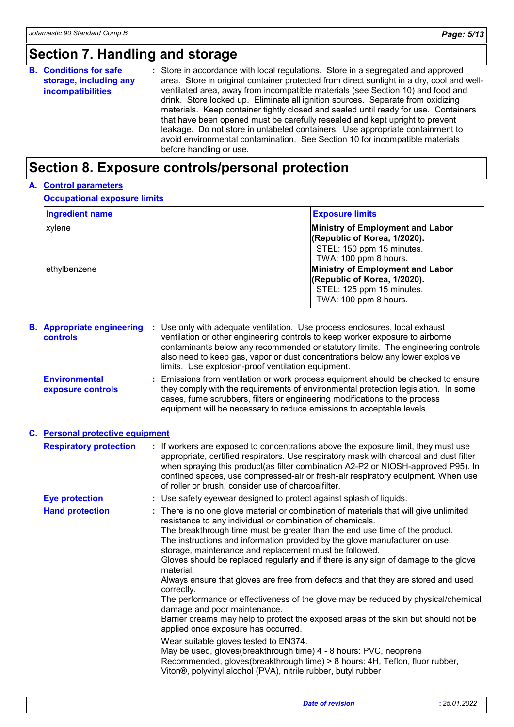# **Section 7. Handling and storage**

|  | <b>B.</b> Conditions for safe<br>storage, including any<br><b>incompatibilities</b> | : Store in accordance with local regulations. Store in a segregated and approved<br>area. Store in original container protected from direct sunlight in a dry, cool and well-<br>ventilated area, away from incompatible materials (see Section 10) and food and<br>drink. Store locked up. Eliminate all ignition sources. Separate from oxidizing<br>materials. Keep container tightly closed and sealed until ready for use. Containers<br>that have been opened must be carefully resealed and kept upright to prevent<br>leakage. Do not store in unlabeled containers. Use appropriate containment to<br>avoid environmental contamination. See Section 10 for incompatible materials<br>before handling or use. |
|--|-------------------------------------------------------------------------------------|------------------------------------------------------------------------------------------------------------------------------------------------------------------------------------------------------------------------------------------------------------------------------------------------------------------------------------------------------------------------------------------------------------------------------------------------------------------------------------------------------------------------------------------------------------------------------------------------------------------------------------------------------------------------------------------------------------------------|
|--|-------------------------------------------------------------------------------------|------------------------------------------------------------------------------------------------------------------------------------------------------------------------------------------------------------------------------------------------------------------------------------------------------------------------------------------------------------------------------------------------------------------------------------------------------------------------------------------------------------------------------------------------------------------------------------------------------------------------------------------------------------------------------------------------------------------------|

# **Section 8. Exposure controls/personal protection**

#### **A. Control parameters**

#### **Occupational exposure limits**

| <b>Ingredient name</b>                                                                                                                                                                                                                                                                                                                                                                                                                        |                                                                                                                                                                                                                                                                                                                                                                                                      | <b>Exposure limits</b>                                                                                                                                                                                                                                                                                                                                                                                                                                                                                                                                                                                                                                                                  |  |  |
|-----------------------------------------------------------------------------------------------------------------------------------------------------------------------------------------------------------------------------------------------------------------------------------------------------------------------------------------------------------------------------------------------------------------------------------------------|------------------------------------------------------------------------------------------------------------------------------------------------------------------------------------------------------------------------------------------------------------------------------------------------------------------------------------------------------------------------------------------------------|-----------------------------------------------------------------------------------------------------------------------------------------------------------------------------------------------------------------------------------------------------------------------------------------------------------------------------------------------------------------------------------------------------------------------------------------------------------------------------------------------------------------------------------------------------------------------------------------------------------------------------------------------------------------------------------------|--|--|
| xylene<br>ethylbenzene                                                                                                                                                                                                                                                                                                                                                                                                                        |                                                                                                                                                                                                                                                                                                                                                                                                      | <b>Ministry of Employment and Labor</b><br>(Republic of Korea, 1/2020).<br>STEL: 150 ppm 15 minutes.<br>TWA: 100 ppm 8 hours.<br><b>Ministry of Employment and Labor</b><br>(Republic of Korea, 1/2020).<br>STEL: 125 ppm 15 minutes.<br>TWA: 100 ppm 8 hours.                                                                                                                                                                                                                                                                                                                                                                                                                          |  |  |
| Use only with adequate ventilation. Use process enclosures, local exhaust<br><b>B.</b> Appropriate engineering<br>ventilation or other engineering controls to keep worker exposure to airborne<br><b>controls</b><br>contaminants below any recommended or statutory limits. The engineering controls<br>also need to keep gas, vapor or dust concentrations below any lower explosive<br>limits. Use explosion-proof ventilation equipment. |                                                                                                                                                                                                                                                                                                                                                                                                      |                                                                                                                                                                                                                                                                                                                                                                                                                                                                                                                                                                                                                                                                                         |  |  |
| <b>Environmental</b><br>exposure controls                                                                                                                                                                                                                                                                                                                                                                                                     | cases, fume scrubbers, filters or engineering modifications to the process<br>equipment will be necessary to reduce emissions to acceptable levels.                                                                                                                                                                                                                                                  | Emissions from ventilation or work process equipment should be checked to ensure<br>they comply with the requirements of environmental protection legislation. In some                                                                                                                                                                                                                                                                                                                                                                                                                                                                                                                  |  |  |
| C. Personal protective equipment                                                                                                                                                                                                                                                                                                                                                                                                              |                                                                                                                                                                                                                                                                                                                                                                                                      |                                                                                                                                                                                                                                                                                                                                                                                                                                                                                                                                                                                                                                                                                         |  |  |
| <b>Respiratory protection</b>                                                                                                                                                                                                                                                                                                                                                                                                                 | of roller or brush, consider use of charcoalfilter.                                                                                                                                                                                                                                                                                                                                                  | : If workers are exposed to concentrations above the exposure limit, they must use<br>appropriate, certified respirators. Use respiratory mask with charcoal and dust filter<br>when spraying this product(as filter combination A2-P2 or NIOSH-approved P95). In<br>confined spaces, use compressed-air or fresh-air respiratory equipment. When use                                                                                                                                                                                                                                                                                                                                   |  |  |
| <b>Eye protection</b>                                                                                                                                                                                                                                                                                                                                                                                                                         | : Use safety eyewear designed to protect against splash of liquids.                                                                                                                                                                                                                                                                                                                                  |                                                                                                                                                                                                                                                                                                                                                                                                                                                                                                                                                                                                                                                                                         |  |  |
| <b>Hand protection</b>                                                                                                                                                                                                                                                                                                                                                                                                                        | resistance to any individual or combination of chemicals.<br>storage, maintenance and replacement must be followed.<br>material.<br>correctly.<br>damage and poor maintenance.<br>applied once exposure has occurred.<br>Wear suitable gloves tested to EN374.<br>May be used, gloves(breakthrough time) 4 - 8 hours: PVC, neoprene<br>Viton®, polyvinyl alcohol (PVA), nitrile rubber, butyl rubber | There is no one glove material or combination of materials that will give unlimited<br>The breakthrough time must be greater than the end use time of the product.<br>The instructions and information provided by the glove manufacturer on use,<br>Gloves should be replaced regularly and if there is any sign of damage to the glove<br>Always ensure that gloves are free from defects and that they are stored and used<br>The performance or effectiveness of the glove may be reduced by physical/chemical<br>Barrier creams may help to protect the exposed areas of the skin but should not be<br>Recommended, gloves(breakthrough time) > 8 hours: 4H, Teflon, fluor rubber, |  |  |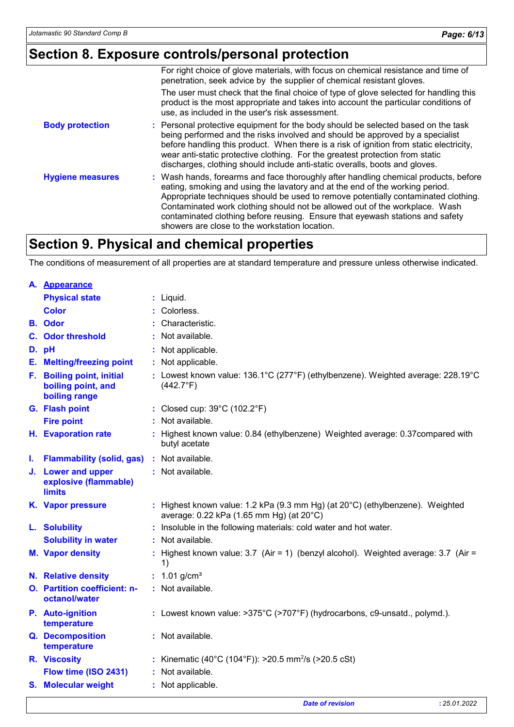# **Section 8. Exposure controls/personal protection**

|                         | For right choice of glove materials, with focus on chemical resistance and time of<br>penetration, seek advice by the supplier of chemical resistant gloves.                                                                                                                                                                                                                                                                                                                |
|-------------------------|-----------------------------------------------------------------------------------------------------------------------------------------------------------------------------------------------------------------------------------------------------------------------------------------------------------------------------------------------------------------------------------------------------------------------------------------------------------------------------|
|                         | The user must check that the final choice of type of glove selected for handling this<br>product is the most appropriate and takes into account the particular conditions of<br>use, as included in the user's risk assessment.                                                                                                                                                                                                                                             |
| <b>Body protection</b>  | : Personal protective equipment for the body should be selected based on the task<br>being performed and the risks involved and should be approved by a specialist<br>before handling this product. When there is a risk of ignition from static electricity,<br>wear anti-static protective clothing. For the greatest protection from static<br>discharges, clothing should include anti-static overalls, boots and gloves.                                               |
| <b>Hygiene measures</b> | : Wash hands, forearms and face thoroughly after handling chemical products, before<br>eating, smoking and using the lavatory and at the end of the working period.<br>Appropriate techniques should be used to remove potentially contaminated clothing.<br>Contaminated work clothing should not be allowed out of the workplace. Wash<br>contaminated clothing before reusing. Ensure that eyewash stations and safety<br>showers are close to the workstation location. |

# **Section 9. Physical and chemical properties**

The conditions of measurement of all properties are at standard temperature and pressure unless otherwise indicated.

|    | A. Appearance                                                    |                                                                                                                                        |
|----|------------------------------------------------------------------|----------------------------------------------------------------------------------------------------------------------------------------|
|    | <b>Physical state</b>                                            | $:$ Liquid.                                                                                                                            |
|    | <b>Color</b>                                                     | : Colorless.                                                                                                                           |
|    | <b>B.</b> Odor                                                   | : Characteristic.                                                                                                                      |
|    | <b>C.</b> Odor threshold                                         | : Not available.                                                                                                                       |
|    | D. pH                                                            | : Not applicable.                                                                                                                      |
|    | <b>E.</b> Melting/freezing point                                 | : Not applicable.                                                                                                                      |
|    | F. Boiling point, initial<br>boiling point, and<br>boiling range | : Lowest known value: $136.1^{\circ}$ C (277 $^{\circ}$ F) (ethylbenzene). Weighted average: 228.19 $^{\circ}$ C<br>$(442.7^{\circ}F)$ |
|    | G. Flash point                                                   | : Closed cup: $39^{\circ}$ C (102.2 $^{\circ}$ F)                                                                                      |
|    | <b>Fire point</b>                                                | : Not available.                                                                                                                       |
|    | H. Evaporation rate                                              | : Highest known value: 0.84 (ethylbenzene) Weighted average: 0.37 compared with<br>butyl acetate                                       |
| ı. | <b>Flammability (solid, gas)</b>                                 | : Not available.                                                                                                                       |
|    | J. Lower and upper<br>explosive (flammable)<br><b>limits</b>     | : Not available.                                                                                                                       |
|    | K. Vapor pressure                                                | : Highest known value: 1.2 kPa (9.3 mm Hg) (at 20°C) (ethylbenzene). Weighted<br>average: 0.22 kPa (1.65 mm Hg) (at 20°C)              |
|    | L. Solubility                                                    | : Insoluble in the following materials: cold water and hot water.                                                                      |
|    | <b>Solubility in water</b>                                       | : Not available.                                                                                                                       |
|    | <b>M. Vapor density</b>                                          | Highest known value: 3.7 (Air = 1) (benzyl alcohol). Weighted average: 3.7 (Air =<br>1)                                                |
|    | N. Relative density                                              | : $1.01$ g/cm <sup>3</sup>                                                                                                             |
|    | O. Partition coefficient: n-<br>octanol/water                    | : Not available.                                                                                                                       |
|    | P. Auto-ignition<br>temperature                                  | : Lowest known value: $>375^{\circ}$ C ( $>707^{\circ}$ F) (hydrocarbons, c9-unsatd., polymd.).                                        |
|    | Q. Decomposition<br>temperature                                  | : Not available.                                                                                                                       |
|    | R. Viscosity                                                     | : Kinematic (40°C (104°F)): >20.5 mm <sup>2</sup> /s (>20.5 cSt)                                                                       |
|    | Flow time (ISO 2431)                                             | : Not available.                                                                                                                       |
|    | <b>S. Molecular weight</b>                                       | : Not applicable.                                                                                                                      |
|    |                                                                  |                                                                                                                                        |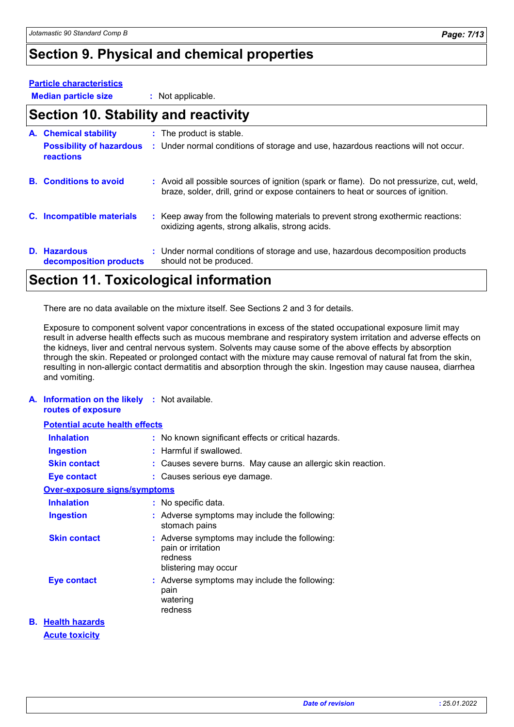# **Section 9. Physical and chemical properties**

#### **Particle characteristics**

**Median particle size :** Not applicable.

### **Section 10. Stability and reactivity**

| A. Chemical stability                               | : The product is stable.                                                                                                                                                     |
|-----------------------------------------------------|------------------------------------------------------------------------------------------------------------------------------------------------------------------------------|
| <b>Possibility of hazardous</b><br><b>reactions</b> | : Under normal conditions of storage and use, hazardous reactions will not occur.                                                                                            |
| <b>B.</b> Conditions to avoid                       | : Avoid all possible sources of ignition (spark or flame). Do not pressurize, cut, weld,<br>braze, solder, drill, grind or expose containers to heat or sources of ignition. |
| C. Incompatible materials                           | : Keep away from the following materials to prevent strong exothermic reactions:<br>oxidizing agents, strong alkalis, strong acids.                                          |
| D. Hazardous<br>decomposition products              | : Under normal conditions of storage and use, hazardous decomposition products<br>should not be produced.                                                                    |

### **Section 11. Toxicological information**

There are no data available on the mixture itself. See Sections 2 and 3 for details.

Exposure to component solvent vapor concentrations in excess of the stated occupational exposure limit may result in adverse health effects such as mucous membrane and respiratory system irritation and adverse effects on the kidneys, liver and central nervous system. Solvents may cause some of the above effects by absorption through the skin. Repeated or prolonged contact with the mixture may cause removal of natural fat from the skin, resulting in non-allergic contact dermatitis and absorption through the skin. Ingestion may cause nausea, diarrhea and vomiting.

#### **A. Information on the likely :** Not available. **routes of exposure**

| <b>Potential acute health effects</b> |  |                                                                                                        |  |  |  |
|---------------------------------------|--|--------------------------------------------------------------------------------------------------------|--|--|--|
| <b>Inhalation</b>                     |  | : No known significant effects or critical hazards.                                                    |  |  |  |
| Ingestion                             |  | : Harmful if swallowed.                                                                                |  |  |  |
| <b>Skin contact</b>                   |  | : Causes severe burns. May cause an allergic skin reaction.                                            |  |  |  |
| <b>Eye contact</b>                    |  | : Causes serious eye damage.                                                                           |  |  |  |
|                                       |  |                                                                                                        |  |  |  |
| <b>Inhalation</b>                     |  | : No specific data.                                                                                    |  |  |  |
| <b>Ingestion</b>                      |  | $:$ Adverse symptoms may include the following:<br>stomach pains                                       |  |  |  |
| <b>Skin contact</b>                   |  | : Adverse symptoms may include the following:<br>pain or irritation<br>redness<br>blistering may occur |  |  |  |
| <b>Eye contact</b>                    |  | : Adverse symptoms may include the following:<br>pain<br>watering<br>redness                           |  |  |  |
| <b>B.</b> Health hazards              |  |                                                                                                        |  |  |  |
|                                       |  | <u>Over-exposure signs/symptoms</u>                                                                    |  |  |  |

#### **Acute toxicity**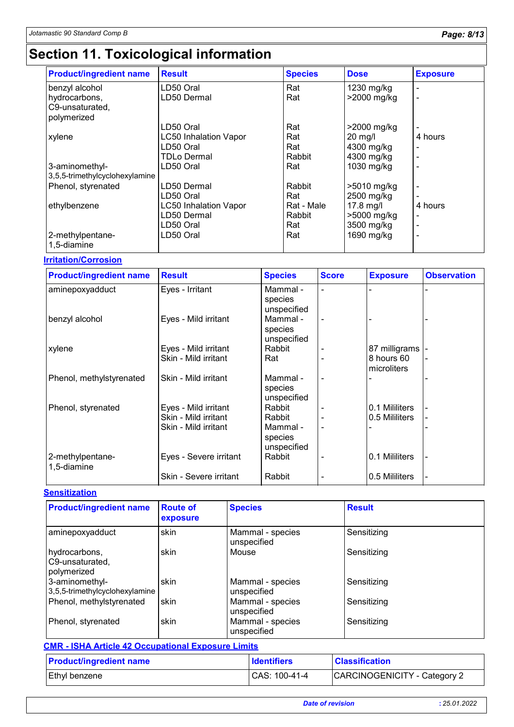# **Section 11. Toxicological information**

| <b>Product/ingredient name</b>  | <b>Result</b>                | <b>Species</b> | <b>Dose</b> | <b>Exposure</b>          |
|---------------------------------|------------------------------|----------------|-------------|--------------------------|
| benzyl alcohol                  | LD50 Oral                    | Rat            | 1230 mg/kg  | $\blacksquare$           |
| hydrocarbons,                   | LD50 Dermal                  | Rat            | >2000 mg/kg | $\blacksquare$           |
| C9-unsaturated,                 |                              |                |             |                          |
| polymerized                     |                              |                |             |                          |
|                                 | LD50 Oral                    | Rat            | >2000 mg/kg |                          |
| xylene                          | <b>LC50 Inhalation Vapor</b> | Rat            | $20$ mg/l   | 4 hours                  |
|                                 | LD50 Oral                    | Rat            | 4300 mg/kg  |                          |
|                                 | TDLo Dermal                  | Rabbit         | 4300 mg/kg  | $\blacksquare$           |
| 3-aminomethyl-                  | LD50 Oral                    | Rat            | 1030 mg/kg  | $\overline{\phantom{a}}$ |
| 3,5,5-trimethylcyclohexylamine  |                              |                |             |                          |
| Phenol, styrenated              | LD50 Dermal                  | Rabbit         | >5010 mg/kg | $\blacksquare$           |
|                                 | LD50 Oral                    | Rat            | 2500 mg/kg  | $\overline{\phantom{a}}$ |
| ethylbenzene                    | <b>LC50 Inhalation Vapor</b> | Rat - Male     | $17.8$ mg/l | 4 hours                  |
|                                 | LD50 Dermal                  | Rabbit         | >5000 mg/kg | ۰                        |
|                                 | LD50 Oral                    | Rat            | 3500 mg/kg  | $\overline{\phantom{a}}$ |
| 2-methylpentane-<br>1,5-diamine | LD50 Oral                    | Rat            | 1690 mg/kg  | $\overline{\phantom{a}}$ |

#### **Irritation/Corrosion**

| <b>Product/ingredient name</b>  | <b>Result</b>                                                        | <b>Species</b>                                         | <b>Score</b> | <b>Exposure</b>                               | <b>Observation</b> |
|---------------------------------|----------------------------------------------------------------------|--------------------------------------------------------|--------------|-----------------------------------------------|--------------------|
| aminepoxyadduct                 | Eyes - Irritant                                                      | Mammal-<br>species<br>unspecified                      |              |                                               |                    |
| benzyl alcohol                  | Eyes - Mild irritant                                                 | Mammal -<br>species<br>unspecified                     |              |                                               |                    |
| xylene                          | Eyes - Mild irritant<br>Skin - Mild irritant                         | Rabbit<br>Rat                                          |              | 87 milligrams  -<br>8 hours 60<br>microliters |                    |
| Phenol, methylstyrenated        | Skin - Mild irritant                                                 | Mammal -<br>species<br>unspecified                     |              |                                               |                    |
| Phenol, styrenated              | Eyes - Mild irritant<br>Skin - Mild irritant<br>Skin - Mild irritant | Rabbit<br>Rabbit<br>Mammal -<br>species<br>unspecified |              | 0.1 Mililiters<br>0.5 Mililiters              |                    |
| 2-methylpentane-<br>1,5-diamine | Eyes - Severe irritant<br>Skin - Severe irritant                     | Rabbit<br>Rabbit                                       | -            | 0.1 Mililiters<br>0.5 Mililiters              |                    |

#### **Sensitization**

| <b>Product/ingredient name</b>                   | <b>Route of</b><br>exposure | <b>Species</b>                  | <b>Result</b> |
|--------------------------------------------------|-----------------------------|---------------------------------|---------------|
| aminepoxyadduct                                  | skin                        | Mammal - species<br>unspecified | Sensitizing   |
| hydrocarbons,<br>C9-unsaturated,<br>polymerized  | skin                        | Mouse                           | Sensitizing   |
| 3-aminomethyl-<br>3,5,5-trimethylcyclohexylamine | skin                        | Mammal - species<br>unspecified | Sensitizing   |
| Phenol, methylstyrenated                         | skin                        | Mammal - species<br>unspecified | Sensitizing   |
| Phenol, styrenated                               | skin                        | Mammal - species<br>unspecified | Sensitizing   |

| <b>CMR - ISHA Article 42 Occupational Exposure Limits</b> |                    |                              |  |  |  |
|-----------------------------------------------------------|--------------------|------------------------------|--|--|--|
| <b>Product/ingredient name</b>                            | <b>Identifiers</b> | <b>Classification</b>        |  |  |  |
| <b>Ethyl benzene</b>                                      | CAS: 100-41-4      | CARCINOGENICITY - Category 2 |  |  |  |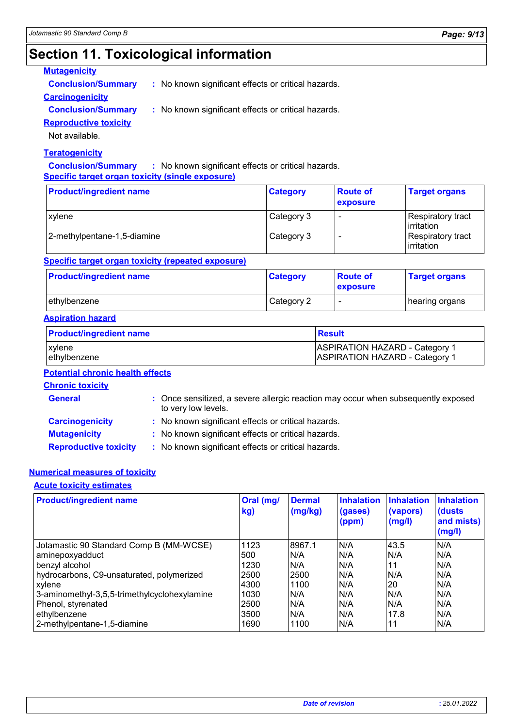# **Section 11. Toxicological information**

#### **Mutagenicity**

**Conclusion/Summary :** No known significant effects or critical hazards.

#### **Carcinogenicity**

**Conclusion/Summary :** No known significant effects or critical hazards.

#### **Reproductive toxicity**

Not available.

#### **Teratogenicity**

**Conclusion/Summary :** No known significant effects or critical hazards. **Specific target organ toxicity (single exposure)**

| <b>Product/ingredient name</b> | <b>Category</b> | <b>Route of</b><br><b>exposure</b> | <b>Target organs</b>                           |
|--------------------------------|-----------------|------------------------------------|------------------------------------------------|
| xylene                         | Category 3      | $\overline{\phantom{0}}$           | <b>Respiratory tract</b><br><b>lirritation</b> |
| 2-methylpentane-1,5-diamine    | Category 3      | $\overline{\phantom{a}}$           | <b>Respiratory tract</b><br><b>lirritation</b> |

#### **Specific target organ toxicity (repeated exposure)**

| <b>Product/ingredient name</b> | <b>Category</b> | <b>Route of</b><br>exposure | <b>Target organs</b> |
|--------------------------------|-----------------|-----------------------------|----------------------|
| Iethvlbenzene                  | Category 2      | $\overline{\phantom{0}}$    | hearing organs       |

#### **Aspiration hazard**

| <b>Product/ingredient name</b> | <b>Result</b>                         |
|--------------------------------|---------------------------------------|
| <b>Exvlene</b>                 | <b>ASPIRATION HAZARD - Category 1</b> |
| ethylbenzene                   | <b>ASPIRATION HAZARD - Category 1</b> |

#### **Potential chronic health effects**

|  |  | <b>Chronic toxicity</b> |  |
|--|--|-------------------------|--|
|  |  |                         |  |

| <b>General</b>               | : Once sensitized, a severe allergic reaction may occur when subsequently exposed<br>to very low levels. |
|------------------------------|----------------------------------------------------------------------------------------------------------|
| <b>Carcinogenicity</b>       | : No known significant effects or critical hazards.                                                      |
| <b>Mutagenicity</b>          | : No known significant effects or critical hazards.                                                      |
| <b>Reproductive toxicity</b> | : No known significant effects or critical hazards.                                                      |

#### **Numerical measures of toxicity**

**Acute toxicity estimates**

| <b>Product/ingredient name</b>               | Oral (mg/<br>kg) | <b>Dermal</b><br>(mg/kg) | <b>Inhalation</b><br>(gases)<br>(ppm) | <b>Inhalation</b><br>(vapors)<br>(mg/l) | <b>Inhalation</b><br>(dusts)<br>and mists)<br>(mg/l) |
|----------------------------------------------|------------------|--------------------------|---------------------------------------|-----------------------------------------|------------------------------------------------------|
| Jotamastic 90 Standard Comp B (MM-WCSE)      | 1123             | 8967.1                   | N/A                                   | 43.5                                    | N/A                                                  |
| aminepoxyadduct                              | 500              | N/A                      | N/A                                   | N/A                                     | N/A                                                  |
| benzyl alcohol                               | 1230             | N/A                      | N/A                                   | 11                                      | N/A                                                  |
| hydrocarbons, C9-unsaturated, polymerized    | 2500             | 2500                     | N/A                                   | N/A                                     | N/A                                                  |
| xylene                                       | 4300             | 1100                     | N/A                                   | 20                                      | N/A                                                  |
| 3-aminomethyl-3,5,5-trimethylcyclohexylamine | 1030             | N/A                      | N/A                                   | N/A                                     | N/A                                                  |
| Phenol, styrenated                           | 2500             | N/A                      | N/A                                   | N/A                                     | N/A                                                  |
| ethylbenzene                                 | 3500             | N/A                      | N/A                                   | 17.8                                    | N/A                                                  |
| 2-methylpentane-1,5-diamine                  | 1690             | 1100                     | N/A                                   | 11                                      | N/A                                                  |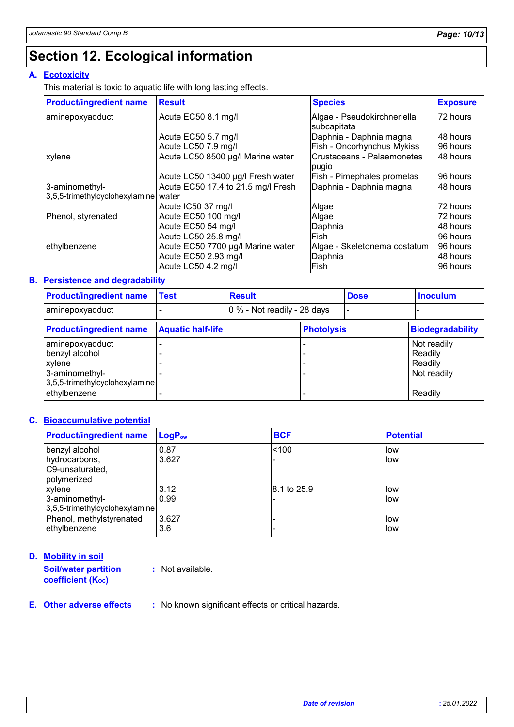# **Section 12. Ecological information**

#### **A. Ecotoxicity**

This material is toxic to aquatic life with long lasting effects.

| <b>Product/ingredient name</b> | <b>Result</b>                      | <b>Species</b>                              | <b>Exposure</b> |
|--------------------------------|------------------------------------|---------------------------------------------|-----------------|
| aminepoxyadduct                | Acute EC50 8.1 mg/l                | Algae - Pseudokirchneriella<br> subcapitata | 72 hours        |
|                                | Acute EC50 5.7 mg/l                | Daphnia - Daphnia magna                     | 48 hours        |
|                                | Acute LC50 7.9 mg/l                | Fish - Oncorhynchus Mykiss                  | 96 hours        |
| xylene                         | Acute LC50 8500 µg/l Marine water  | Crustaceans - Palaemonetes<br>pugio         | 48 hours        |
|                                | Acute LC50 13400 µg/l Fresh water  | Fish - Pimephales promelas                  | 96 hours        |
| 3-aminomethyl-                 | Acute EC50 17.4 to 21.5 mg/l Fresh | Daphnia - Daphnia magna                     | 48 hours        |
| 3,5,5-trimethylcyclohexylamine | water                              |                                             |                 |
|                                | Acute IC50 37 mg/l                 | Algae                                       | 72 hours        |
| Phenol, styrenated             | Acute EC50 100 mg/l                | Algae                                       | 72 hours        |
|                                | Acute EC50 54 mg/l                 | Daphnia                                     | 48 hours        |
|                                | Acute LC50 25.8 mg/l               | lFish.                                      | 96 hours        |
| ethylbenzene                   | Acute EC50 7700 µg/l Marine water  | Algae - Skeletonema costatum                | 96 hours        |
|                                | Acute EC50 2.93 mg/l               | Daphnia                                     | 48 hours        |
|                                | Acute LC50 4.2 mg/l                | lFish.                                      | 96 hours        |

#### **Persistence and degradability B.**

| <b>Product/ingredient name</b>                                                                  | <b>Test</b>              | <b>Result</b> |                             | <b>Dose</b> | <b>Inoculum</b>                                  |
|-------------------------------------------------------------------------------------------------|--------------------------|---------------|-----------------------------|-------------|--------------------------------------------------|
| aminepoxyadduct                                                                                 |                          |               | 0 % - Not readily - 28 days |             |                                                  |
| <b>Product/ingredient name</b>                                                                  | <b>Aquatic half-life</b> |               | <b>Photolysis</b>           |             | <b>Biodegradability</b>                          |
| aminepoxyadduct<br>benzyl alcohol<br>xylene<br>3-aminomethyl-<br>3,5,5-trimethylcyclohexylamine |                          |               |                             |             | Not readily<br>Readily<br>Readily<br>Not readily |
| ethylbenzene                                                                                    |                          |               |                             |             | Readily                                          |

#### **Bioaccumulative potential C.**

| <b>Product/ingredient name</b> | $LogP_{ow}$ | <b>BCF</b>  | <b>Potential</b> |
|--------------------------------|-------------|-------------|------------------|
| benzyl alcohol                 | 0.87        | ~100        | low              |
| hydrocarbons,                  | 3.627       |             | llow             |
| C9-unsaturated,                |             |             |                  |
| polymerized                    |             |             |                  |
| xylene                         | 3.12        | 8.1 to 25.9 | low              |
| 3-aminomethyl-                 | 0.99        |             | llow             |
| 3,5,5-trimethylcyclohexylamine |             |             |                  |
| Phenol, methylstyrenated       | 3.627       |             | llow             |
| ethylbenzene                   | 3.6         |             | low.             |

**Mobility in soil D. Soil/water partition coefficient (KOC)**

**:** Not available.

#### **E.**

**Other adverse effects :** No known significant effects or critical hazards.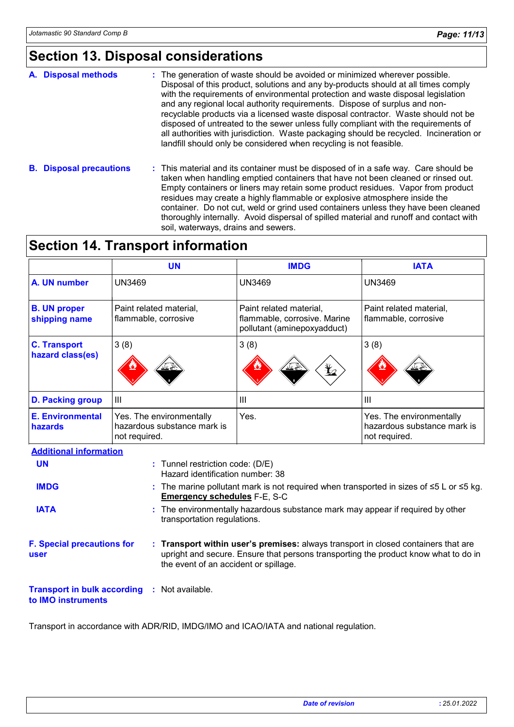### **Section 13. Disposal considerations**

| A. Disposal methods | : The generation of waste should be avoided or minimized wherever possible.                                                                                                                                                                                                                                                                                                                                                                                                                                                                                                                     |
|---------------------|-------------------------------------------------------------------------------------------------------------------------------------------------------------------------------------------------------------------------------------------------------------------------------------------------------------------------------------------------------------------------------------------------------------------------------------------------------------------------------------------------------------------------------------------------------------------------------------------------|
|                     | Disposal of this product, solutions and any by-products should at all times comply<br>with the requirements of environmental protection and waste disposal legislation<br>and any regional local authority requirements. Dispose of surplus and non-<br>recyclable products via a licensed waste disposal contractor. Waste should not be<br>disposed of untreated to the sewer unless fully compliant with the requirements of<br>all authorities with jurisdiction. Waste packaging should be recycled. Incineration or<br>landfill should only be considered when recycling is not feasible. |

**B. Disposal precautions :** This material and its container must be disposed of in a safe way. Care should be taken when handling emptied containers that have not been cleaned or rinsed out. Empty containers or liners may retain some product residues. Vapor from product residues may create a highly flammable or explosive atmosphere inside the container. Do not cut, weld or grind used containers unless they have been cleaned thoroughly internally. Avoid dispersal of spilled material and runoff and contact with soil, waterways, drains and sewers.

### **Section 14. Transport information**

|                                      | <b>UN</b>                                                                                                                                  | <b>IMDG</b>                                                                            | <b>IATA</b>                                                              |  |  |  |
|--------------------------------------|--------------------------------------------------------------------------------------------------------------------------------------------|----------------------------------------------------------------------------------------|--------------------------------------------------------------------------|--|--|--|
| A. UN number                         | <b>UN3469</b>                                                                                                                              | <b>UN3469</b>                                                                          | <b>UN3469</b>                                                            |  |  |  |
| <b>B. UN proper</b><br>shipping name | Paint related material,<br>flammable, corrosive                                                                                            | Paint related material,<br>flammable, corrosive. Marine<br>pollutant (aminepoxyadduct) | Paint related material,<br>flammable, corrosive                          |  |  |  |
| <b>C. Transport</b>                  | 3(8)                                                                                                                                       | 3(8)                                                                                   | 3(8)                                                                     |  |  |  |
| hazard class(es)                     | ے مخ                                                                                                                                       | م¥<br>≚≚∛                                                                              |                                                                          |  |  |  |
| <b>D. Packing group</b>              | Ш                                                                                                                                          | $\mathbf{III}$                                                                         | III                                                                      |  |  |  |
| <b>E. Environmental</b><br>hazards   | Yes. The environmentally<br>hazardous substance mark is<br>not required.                                                                   | Yes.                                                                                   | Yes. The environmentally<br>hazardous substance mark is<br>not required. |  |  |  |
| <b>Additional information</b>        |                                                                                                                                            |                                                                                        |                                                                          |  |  |  |
| <b>UN</b>                            | : Tunnel restriction code: (D/E)<br>Hazard identification number: 38                                                                       |                                                                                        |                                                                          |  |  |  |
| <b>IMDG</b>                          | : The marine pollutant mark is not required when transported in sizes of $\leq 5$ L or $\leq 5$ kg.<br><b>Emergency schedules F-E, S-C</b> |                                                                                        |                                                                          |  |  |  |

- The environmentally hazardous substance mark may appear if required by other **:** transportation regulations. **IATA**
- **F. Special precautions for user Transport within user's premises:** always transport in closed containers that are **:** upright and secure. Ensure that persons transporting the product know what to do in the event of an accident or spillage.
- **Transport in bulk according :** Not available. **to IMO instruments**

Transport in accordance with ADR/RID, IMDG/IMO and ICAO/IATA and national regulation.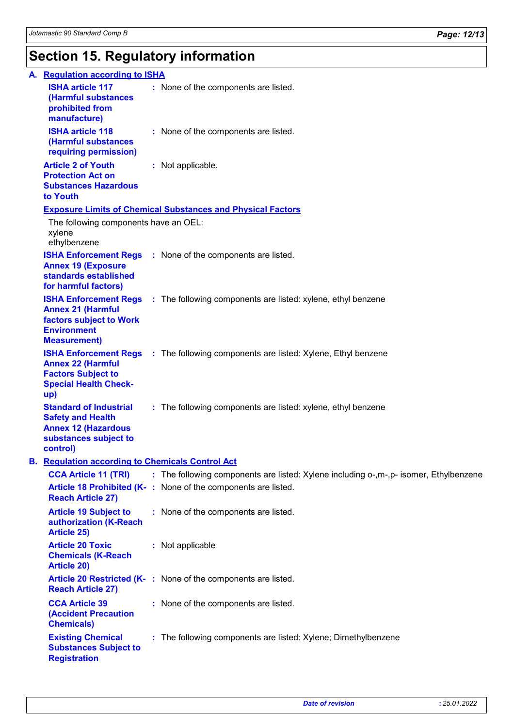# **Section 15. Regulatory information**

| А. | <b>Requlation according to ISHA</b>                                                                                          |                                                                                           |
|----|------------------------------------------------------------------------------------------------------------------------------|-------------------------------------------------------------------------------------------|
|    | <b>ISHA article 117</b><br>(Harmful substances<br>prohibited from<br>manufacture)                                            | : None of the components are listed.                                                      |
|    | <b>ISHA article 118</b><br>(Harmful substances<br>requiring permission)                                                      | : None of the components are listed.                                                      |
|    | <b>Article 2 of Youth</b><br><b>Protection Act on</b><br><b>Substances Hazardous</b><br>to Youth                             | : Not applicable.                                                                         |
|    |                                                                                                                              | <b>Exposure Limits of Chemical Substances and Physical Factors</b>                        |
|    | The following components have an OEL:<br>xylene<br>ethylbenzene                                                              |                                                                                           |
|    | <b>Annex 19 (Exposure</b><br>standards established<br>for harmful factors)                                                   | <b>ISHA Enforcement Regs</b> : None of the components are listed.                         |
|    | <b>Annex 21 (Harmful</b><br>factors subject to Work<br><b>Environment</b><br><b>Measurement)</b>                             | <b>ISHA Enforcement Regs</b> : The following components are listed: xylene, ethyl benzene |
|    | <b>Annex 22 (Harmful</b><br><b>Factors Subject to</b><br><b>Special Health Check-</b><br>up)                                 | <b>ISHA Enforcement Regs</b> : The following components are listed: Xylene, Ethyl benzene |
|    | <b>Standard of Industrial</b><br><b>Safety and Health</b><br><b>Annex 12 (Hazardous</b><br>substances subject to<br>control) | : The following components are listed: xylene, ethyl benzene                              |
|    | <b>B.</b> Regulation according to Chemicals Control Act                                                                      |                                                                                           |
|    | <b>CCA Article 11 (TRI)</b>                                                                                                  | : The following components are listed: Xylene including o-,m-,p- isomer, Ethylbenzene     |
|    | <b>Reach Article 27)</b>                                                                                                     | Article 18 Prohibited (K-: None of the components are listed.                             |
|    | <b>Article 19 Subject to</b><br>authorization (K-Reach<br><b>Article 25)</b>                                                 | : None of the components are listed.                                                      |
|    | <b>Article 20 Toxic</b><br><b>Chemicals (K-Reach</b><br><b>Article 20)</b>                                                   | : Not applicable                                                                          |
|    | <b>Reach Article 27)</b>                                                                                                     | Article 20 Restricted (K-: None of the components are listed.                             |
|    | <b>CCA Article 39</b><br><b>(Accident Precaution</b><br><b>Chemicals)</b>                                                    | : None of the components are listed.                                                      |
|    | <b>Existing Chemical</b><br><b>Substances Subject to</b><br><b>Registration</b>                                              | : The following components are listed: Xylene; Dimethylbenzene                            |